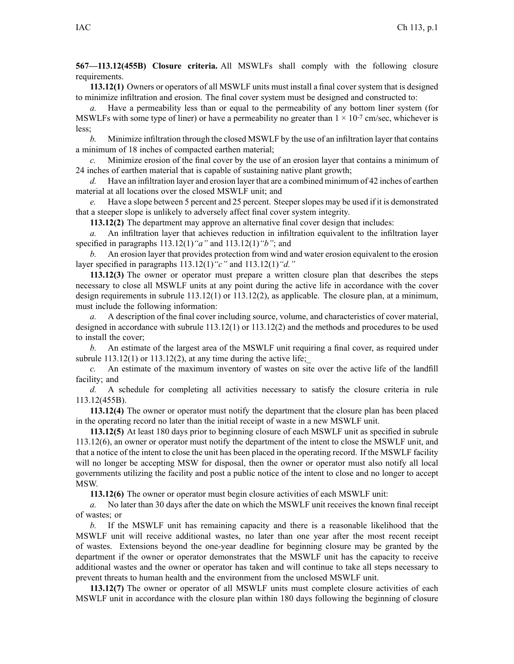**567—113.12(455B) Closure criteria.** All MSWLFs shall comply with the following closure requirements.

**113.12(1)** Owners or operators of all MSWLF units must install <sup>a</sup> final cover system that is designed to minimize infiltration and erosion. The final cover system must be designed and constructed to:

*a.* Have <sup>a</sup> permeability less than or equal to the permeability of any bottom liner system (for MSWLFs with some type of liner) or have a permeability no greater than  $1 \times 10^{-7}$  cm/sec, whichever is less;

*b.* Minimize infiltration through the closed MSWLF by the use of an infiltration layer that contains <sup>a</sup> minimum of 18 inches of compacted earthen material;

*c.* Minimize erosion of the final cover by the use of an erosion layer that contains <sup>a</sup> minimum of 24 inches of earthen material that is capable of sustaining native plant growth;

*d.* Have an infiltration layer and erosion layer that are <sup>a</sup> combined minimum of 42 inches of earthen material at all locations over the closed MSWLF unit; and

*e.* Have a slope between 5 percent and 25 percent. Steeper slopes may be used if it is demonstrated that <sup>a</sup> steeper slope is unlikely to adversely affect final cover system integrity.

**113.12(2)** The department may approve an alternative final cover design that includes:

*a.* An infiltration layer that achieves reduction in infiltration equivalent to the infiltration layer specified in paragraphs 113.12(1)*"a"* and 113.12(1)*"b"*; and

*b.* An erosion layer that provides protection from wind and water erosion equivalent to the erosion layer specified in paragraphs 113.12(1)*"c"* and 113.12(1)*"d."*

**113.12(3)** The owner or operator must prepare <sup>a</sup> written closure plan that describes the steps necessary to close all MSWLF units at any point during the active life in accordance with the cover design requirements in subrule 113.12(1) or 113.12(2), as applicable. The closure plan, at <sup>a</sup> minimum, must include the following information:

*a.* A description of the final cover including source, volume, and characteristics of cover material, designed in accordance with subrule 113.12(1) or 113.12(2) and the methods and procedures to be used to install the cover;

*b.* An estimate of the largest area of the MSWLF unit requiring <sup>a</sup> final cover, as required under subrule  $113.12(1)$  or  $113.12(2)$ , at any time during the active life;

*c.* An estimate of the maximum inventory of wastes on site over the active life of the landfill facility; and

*d.* A schedule for completing all activities necessary to satisfy the closure criteria in rule 113.12(455B).

**113.12(4)** The owner or operator must notify the department that the closure plan has been placed in the operating record no later than the initial receipt of waste in <sup>a</sup> new MSWLF unit.

**113.12(5)** At least 180 days prior to beginning closure of each MSWLF unit as specified in subrule 113.12(6), an owner or operator must notify the department of the intent to close the MSWLF unit, and that <sup>a</sup> notice of the intent to close the unit has been placed in the operating record. If the MSWLF facility will no longer be accepting MSW for disposal, then the owner or operator must also notify all local governments utilizing the facility and pos<sup>t</sup> <sup>a</sup> public notice of the intent to close and no longer to accep<sup>t</sup> MSW.

**113.12(6)** The owner or operator must begin closure activities of each MSWLF unit:

*a.* No later than 30 days after the date on which the MSWLF unit receives the known final receipt of wastes; or

*b.* If the MSWLF unit has remaining capacity and there is <sup>a</sup> reasonable likelihood that the MSWLF unit will receive additional wastes, no later than one year after the most recent receipt of wastes. Extensions beyond the one-year deadline for beginning closure may be granted by the department if the owner or operator demonstrates that the MSWLF unit has the capacity to receive additional wastes and the owner or operator has taken and will continue to take all steps necessary to preven<sup>t</sup> threats to human health and the environment from the unclosed MSWLF unit.

**113.12(7)** The owner or operator of all MSWLF units must complete closure activities of each MSWLF unit in accordance with the closure plan within 180 days following the beginning of closure